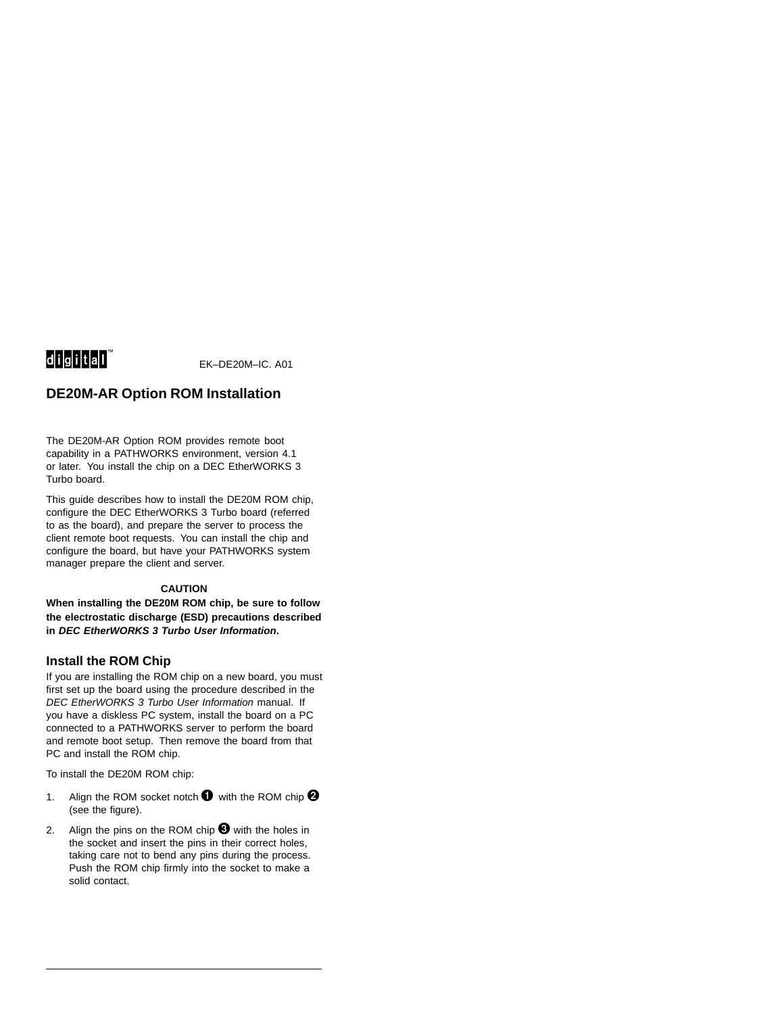# 

EK–DE20M–IC. A01

# **DE20M-AR Option ROM Installation**

The DE20M-AR Option ROM provides remote boot capability in a PATHWORKS environment, version 4.1 or later. You install the chip on a DEC EtherWORKS 3 Turbo board.

This guide describes how to install the DE20M ROM chip, configure the DEC EtherWORKS 3 Turbo board (referred to as the board), and prepare the server to process the client remote boot requests. You can install the chip and configure the board, but have your PATHWORKS system manager prepare the client and server.

### **CAUTION**

**When installing the DE20M ROM chip, be sure to follow the electrostatic discharge (ESD) precautions described in DEC EtherWORKS 3 Turbo User Information.**

## **Install the ROM Chip**

If you are installing the ROM chip on a new board, you must first set up the board using the procedure described in the DEC EtherWORKS 3 Turbo User Information manual. If you have a diskless PC system, install the board on a PC connected to a PATHWORKS server to perform the board and remote boot setup. Then remove the board from that PC and install the ROM chip.

To install the DE20M ROM chip:

- 1. Align the ROM socket notch  $\bigcirc$  with the ROM chip  $\bigcirc$ (see the figure).
- 2. Align the pins on the ROM chip  $\bigcirc$  with the holes in the socket and insert the pins in their correct holes, taking care not to bend any pins during the process. Push the ROM chip firmly into the socket to make a solid contact.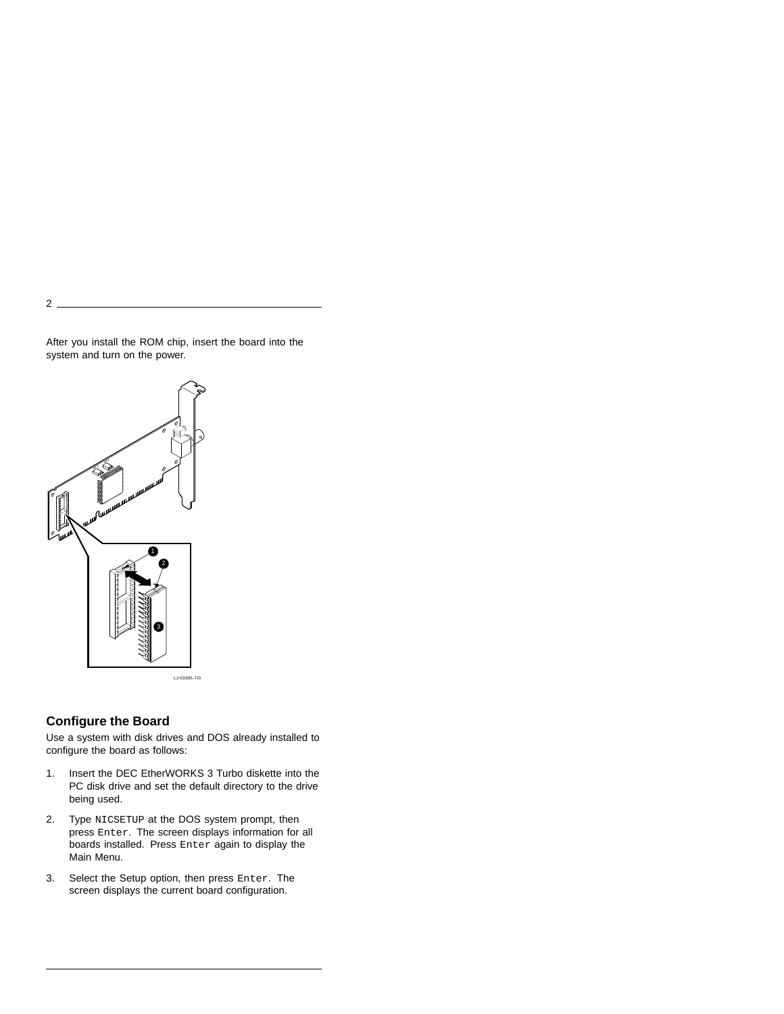After you install the ROM chip, insert the board into the system and turn on the power.



2

# **Configure the Board**

Use a system with disk drives and DOS already installed to configure the board as follows:

- 1. Insert the DEC EtherWORKS 3 Turbo diskette into the PC disk drive and set the default directory to the drive being used.
- 2. Type NICSETUP at the DOS system prompt, then press Enter. The screen displays information for all boards installed. Press Enter again to display the Main Menu.
- 3. Select the Setup option, then press Enter. The screen displays the current board configuration.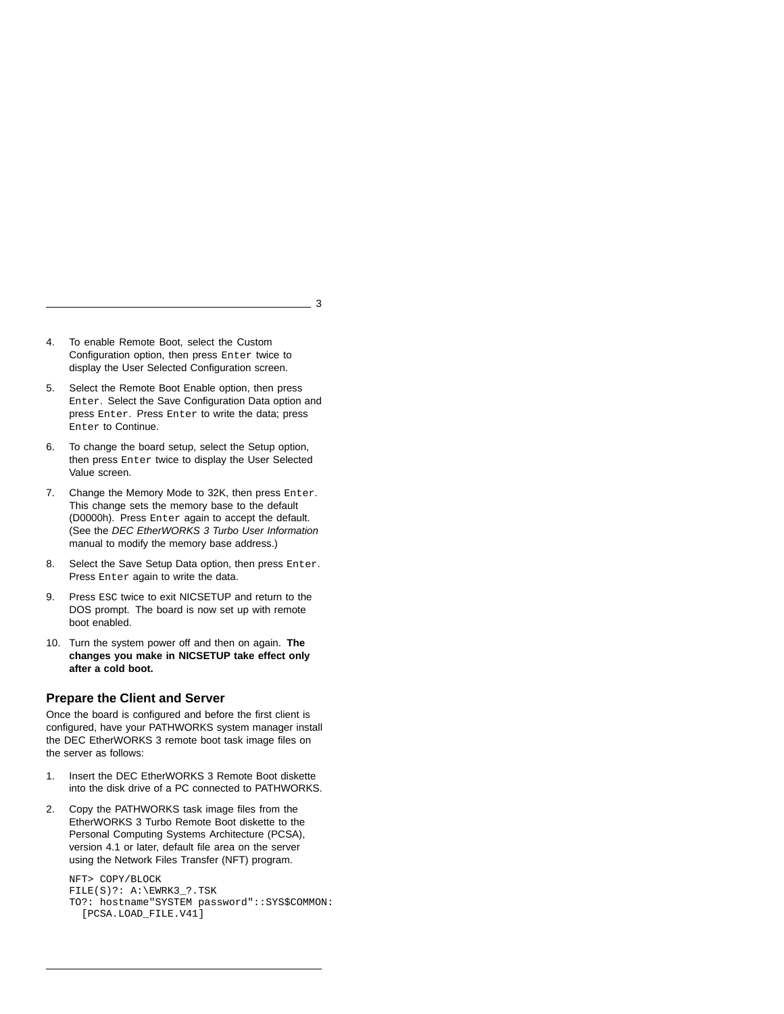3

- 4. To enable Remote Boot, select the Custom Configuration option, then press Enter twice to display the User Selected Configuration screen.
- 5. Select the Remote Boot Enable option, then press Enter. Select the Save Configuration Data option and press Enter. Press Enter to write the data; press Enter to Continue.
- 6. To change the board setup, select the Setup option, then press Enter twice to display the User Selected Value screen.
- 7. Change the Memory Mode to 32K, then press Enter. This change sets the memory base to the default (D0000h). Press Enter again to accept the default. (See the DEC EtherWORKS 3 Turbo User Information manual to modify the memory base address.)
- 8. Select the Save Setup Data option, then press Enter. Press Enter again to write the data.
- 9. Press ESC twice to exit NICSETUP and return to the DOS prompt. The board is now set up with remote boot enabled.
- 10. Turn the system power off and then on again. **The changes you make in NICSETUP take effect only after a cold boot.**

### **Prepare the Client and Server**

Once the board is configured and before the first client is configured, have your PATHWORKS system manager install the DEC EtherWORKS 3 remote boot task image files on the server as follows:

- 1. Insert the DEC EtherWORKS 3 Remote Boot diskette into the disk drive of a PC connected to PATHWORKS.
- 2. Copy the PATHWORKS task image files from the EtherWORKS 3 Turbo Remote Boot diskette to the Personal Computing Systems Architecture (PCSA), version 4.1 or later, default file area on the server using the Network Files Transfer (NFT) program.

NFT> COPY/BLOCK FILE(S)?: A:\EWRK3\_?.TSK TO?: hostname"SYSTEM password"::SYS\$COMMON: [PCSA.LOAD\_FILE.V41]